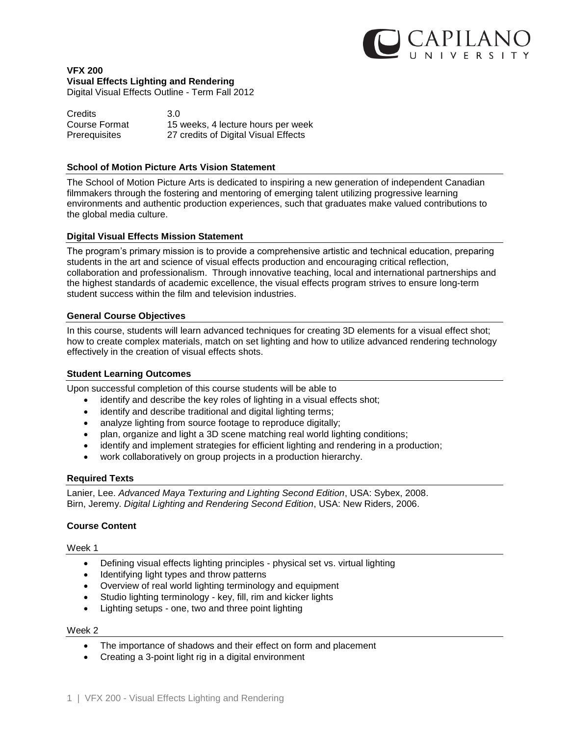

# **VFX 200 Visual Effects Lighting and Rendering**

Digital Visual Effects Outline - Term Fall 2012

| <b>Credits</b> | 3.0                                  |
|----------------|--------------------------------------|
| Course Format  | 15 weeks, 4 lecture hours per week   |
| Prerequisites  | 27 credits of Digital Visual Effects |

#### **School of Motion Picture Arts Vision Statement**

The School of Motion Picture Arts is dedicated to inspiring a new generation of independent Canadian filmmakers through the fostering and mentoring of emerging talent utilizing progressive learning environments and authentic production experiences, such that graduates make valued contributions to the global media culture.

#### **Digital Visual Effects Mission Statement**

The program's primary mission is to provide a comprehensive artistic and technical education, preparing students in the art and science of visual effects production and encouraging critical reflection, collaboration and professionalism. Through innovative teaching, local and international partnerships and the highest standards of academic excellence, the visual effects program strives to ensure long-term student success within the film and television industries.

#### **General Course Objectives**

In this course, students will learn advanced techniques for creating 3D elements for a visual effect shot; how to create complex materials, match on set lighting and how to utilize advanced rendering technology effectively in the creation of visual effects shots.

### **Student Learning Outcomes**

Upon successful completion of this course students will be able to

- identify and describe the key roles of lighting in a visual effects shot;
- identify and describe traditional and digital lighting terms;
- analyze lighting from source footage to reproduce digitally;
- plan, organize and light a 3D scene matching real world lighting conditions;
- identify and implement strategies for efficient lighting and rendering in a production;
- work collaboratively on group projects in a production hierarchy.

#### **Required Texts**

Lanier, Lee. *Advanced Maya Texturing and Lighting Second Edition*, USA: Sybex, 2008. Birn, Jeremy. *Digital Lighting and Rendering Second Edition*, USA: New Riders, 2006.

### **Course Content**

#### Week 1

- Defining visual effects lighting principles physical set vs. virtual lighting
- Identifying light types and throw patterns
- Overview of real world lighting terminology and equipment
- Studio lighting terminology key, fill, rim and kicker lights
- Lighting setups one, two and three point lighting

#### Week 2

- The importance of shadows and their effect on form and placement
- Creating a 3-point light rig in a digital environment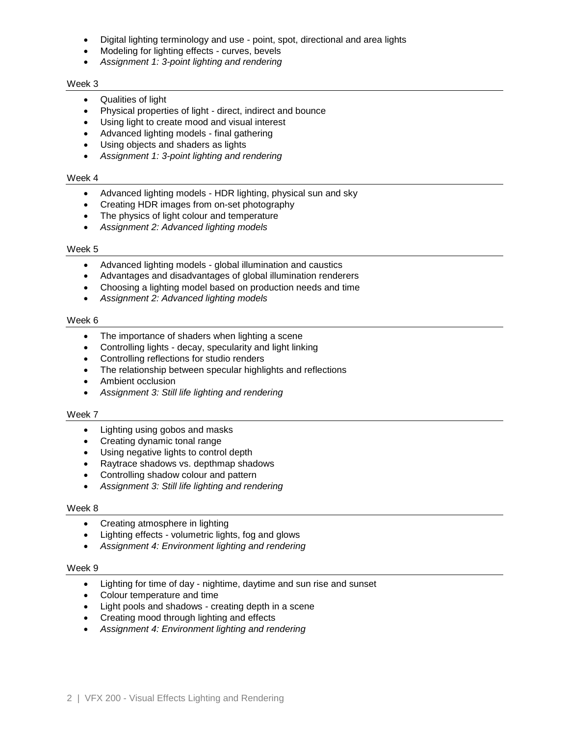- Digital lighting terminology and use point, spot, directional and area lights
- Modeling for lighting effects curves, bevels
- *Assignment 1: 3-point lighting and rendering*

#### Week 3

- Qualities of light
- Physical properties of light direct, indirect and bounce
- Using light to create mood and visual interest
- Advanced lighting models final gathering
- Using objects and shaders as lights
- *Assignment 1: 3-point lighting and rendering*

#### Week 4

- Advanced lighting models HDR lighting, physical sun and sky
- Creating HDR images from on-set photography
- The physics of light colour and temperature
- *Assignment 2: Advanced lighting models*

#### Week 5

- Advanced lighting models global illumination and caustics
- Advantages and disadvantages of global illumination renderers
- Choosing a lighting model based on production needs and time
- *Assignment 2: Advanced lighting models*

#### Week 6

- The importance of shaders when lighting a scene
- Controlling lights decay, specularity and light linking
- Controlling reflections for studio renders
- The relationship between specular highlights and reflections
- Ambient occlusion
- *Assignment 3: Still life lighting and rendering*

### Week 7

- Lighting using gobos and masks
- Creating dynamic tonal range
- Using negative lights to control depth
- Raytrace shadows vs. depthmap shadows
- Controlling shadow colour and pattern
- *Assignment 3: Still life lighting and rendering*

### Week 8

- Creating atmosphere in lighting
- Lighting effects volumetric lights, fog and glows
- *Assignment 4: Environment lighting and rendering*

#### Week 9

- Lighting for time of day nightime, daytime and sun rise and sunset
- Colour temperature and time
- Light pools and shadows creating depth in a scene
- Creating mood through lighting and effects
- *Assignment 4: Environment lighting and rendering*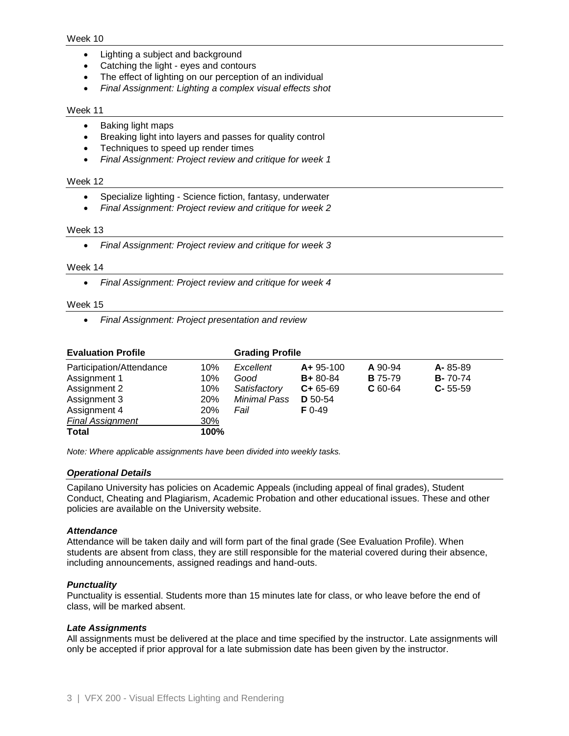#### Week 10

- Lighting a subject and background
- Catching the light eyes and contours
- The effect of lighting on our perception of an individual
- *Final Assignment: Lighting a complex visual effects shot*

#### Week 11

- Baking light maps
- Breaking light into layers and passes for quality control
- Techniques to speed up render times
- *Final Assignment: Project review and critique for week 1*

### Week 12

- Specialize lighting Science fiction, fantasy, underwater
- *Final Assignment: Project review and critique for week 2*

#### Week 13

*Final Assignment: Project review and critique for week 3*

#### Week 14

*Final Assignment: Project review and critique for week 4*

#### Week 15

*Final Assignment: Project presentation and review*

| <b>Evaluation Profile</b>                                                                                           |                                                      | <b>Grading Profile</b>                                           |                                                                                  |                                        |                                                  |
|---------------------------------------------------------------------------------------------------------------------|------------------------------------------------------|------------------------------------------------------------------|----------------------------------------------------------------------------------|----------------------------------------|--------------------------------------------------|
| Participation/Attendance<br>Assignment 1<br>Assignment 2<br>Assignment 3<br>Assignment 4<br><b>Final Assignment</b> | 10%<br>10%<br>10%<br><b>20%</b><br><b>20%</b><br>30% | Excellent<br>Good<br>Satisfactory<br><b>Minimal Pass</b><br>Fail | $A + 95 - 100$<br>$B + 80 - 84$<br>$C + 65 - 69$<br><b>D</b> 50-54<br>$F_{0-49}$ | A 90-94<br><b>B</b> 75-79<br>$C$ 60-64 | $A - 85 - 89$<br><b>B-70-74</b><br>$C - 55 - 59$ |
| Total                                                                                                               | 100%                                                 |                                                                  |                                                                                  |                                        |                                                  |

*Note: Where applicable assignments have been divided into weekly tasks.*

### *Operational Details*

Capilano University has policies on Academic Appeals (including appeal of final grades), Student Conduct, Cheating and Plagiarism, Academic Probation and other educational issues. These and other policies are available on the University website.

### *Attendance*

Attendance will be taken daily and will form part of the final grade (See Evaluation Profile). When students are absent from class, they are still responsible for the material covered during their absence, including announcements, assigned readings and hand-outs.

### *Punctuality*

Punctuality is essential. Students more than 15 minutes late for class, or who leave before the end of class, will be marked absent.

### *Late Assignments*

All assignments must be delivered at the place and time specified by the instructor. Late assignments will only be accepted if prior approval for a late submission date has been given by the instructor.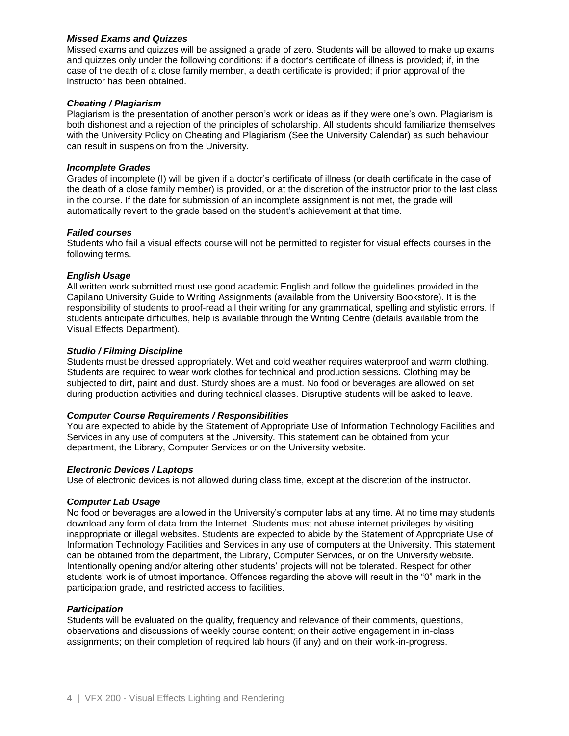### *Missed Exams and Quizzes*

Missed exams and quizzes will be assigned a grade of zero. Students will be allowed to make up exams and quizzes only under the following conditions: if a doctor's certificate of illness is provided; if, in the case of the death of a close family member, a death certificate is provided; if prior approval of the instructor has been obtained.

### *Cheating / Plagiarism*

Plagiarism is the presentation of another person's work or ideas as if they were one's own. Plagiarism is both dishonest and a rejection of the principles of scholarship. All students should familiarize themselves with the University Policy on Cheating and Plagiarism (See the University Calendar) as such behaviour can result in suspension from the University.

### *Incomplete Grades*

Grades of incomplete (I) will be given if a doctor's certificate of illness (or death certificate in the case of the death of a close family member) is provided, or at the discretion of the instructor prior to the last class in the course. If the date for submission of an incomplete assignment is not met, the grade will automatically revert to the grade based on the student's achievement at that time.

# *Failed courses*

Students who fail a visual effects course will not be permitted to register for visual effects courses in the following terms.

# *English Usage*

All written work submitted must use good academic English and follow the guidelines provided in the Capilano University Guide to Writing Assignments (available from the University Bookstore). It is the responsibility of students to proof-read all their writing for any grammatical, spelling and stylistic errors. If students anticipate difficulties, help is available through the Writing Centre (details available from the Visual Effects Department).

# *Studio / Filming Discipline*

Students must be dressed appropriately. Wet and cold weather requires waterproof and warm clothing. Students are required to wear work clothes for technical and production sessions. Clothing may be subjected to dirt, paint and dust. Sturdy shoes are a must. No food or beverages are allowed on set during production activities and during technical classes. Disruptive students will be asked to leave.

### *Computer Course Requirements / Responsibilities*

You are expected to abide by the Statement of Appropriate Use of Information Technology Facilities and Services in any use of computers at the University. This statement can be obtained from your department, the Library, Computer Services or on the University website.

### *Electronic Devices / Laptops*

Use of electronic devices is not allowed during class time, except at the discretion of the instructor.

### *Computer Lab Usage*

No food or beverages are allowed in the University's computer labs at any time. At no time may students download any form of data from the Internet. Students must not abuse internet privileges by visiting inappropriate or illegal websites. Students are expected to abide by the Statement of Appropriate Use of Information Technology Facilities and Services in any use of computers at the University. This statement can be obtained from the department, the Library, Computer Services, or on the University website. Intentionally opening and/or altering other students' projects will not be tolerated. Respect for other students' work is of utmost importance. Offences regarding the above will result in the "0" mark in the participation grade, and restricted access to facilities.

### *Participation*

Students will be evaluated on the quality, frequency and relevance of their comments, questions, observations and discussions of weekly course content; on their active engagement in in-class assignments; on their completion of required lab hours (if any) and on their work-in-progress.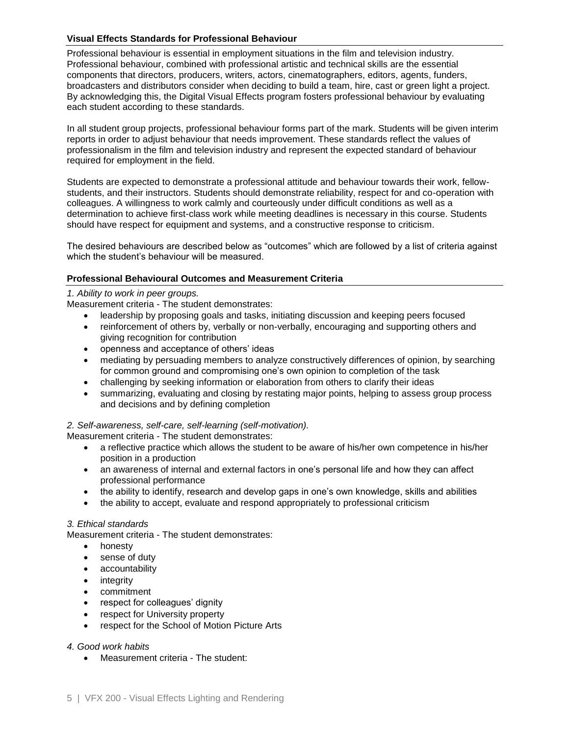# **Visual Effects Standards for Professional Behaviour**

Professional behaviour is essential in employment situations in the film and television industry. Professional behaviour, combined with professional artistic and technical skills are the essential components that directors, producers, writers, actors, cinematographers, editors, agents, funders, broadcasters and distributors consider when deciding to build a team, hire, cast or green light a project. By acknowledging this, the Digital Visual Effects program fosters professional behaviour by evaluating each student according to these standards.

In all student group projects, professional behaviour forms part of the mark. Students will be given interim reports in order to adjust behaviour that needs improvement. These standards reflect the values of professionalism in the film and television industry and represent the expected standard of behaviour required for employment in the field.

Students are expected to demonstrate a professional attitude and behaviour towards their work, fellowstudents, and their instructors. Students should demonstrate reliability, respect for and co-operation with colleagues. A willingness to work calmly and courteously under difficult conditions as well as a determination to achieve first-class work while meeting deadlines is necessary in this course. Students should have respect for equipment and systems, and a constructive response to criticism.

The desired behaviours are described below as "outcomes" which are followed by a list of criteria against which the student's behaviour will be measured.

# **Professional Behavioural Outcomes and Measurement Criteria**

### *1. Ability to work in peer groups.*

Measurement criteria - The student demonstrates:

- leadership by proposing goals and tasks, initiating discussion and keeping peers focused
- reinforcement of others by, verbally or non-verbally, encouraging and supporting others and giving recognition for contribution
- openness and acceptance of others' ideas
- mediating by persuading members to analyze constructively differences of opinion, by searching for common ground and compromising one's own opinion to completion of the task
- challenging by seeking information or elaboration from others to clarify their ideas
- summarizing, evaluating and closing by restating major points, helping to assess group process and decisions and by defining completion

### *2. Self-awareness, self-care, self-learning (self-motivation).*

Measurement criteria - The student demonstrates:

- a reflective practice which allows the student to be aware of his/her own competence in his/her position in a production
- an awareness of internal and external factors in one's personal life and how they can affect professional performance
- the ability to identify, research and develop gaps in one's own knowledge, skills and abilities
- the ability to accept, evaluate and respond appropriately to professional criticism

### *3. Ethical standards*

Measurement criteria - The student demonstrates:

- honesty
- sense of duty
- accountability
- integrity
- commitment
- respect for colleagues' dignity
- respect for University property
- respect for the School of Motion Picture Arts

### *4. Good work habits*

Measurement criteria - The student: